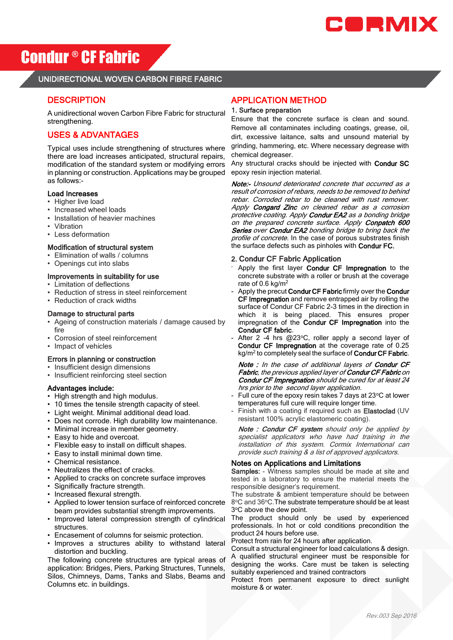

# Condur ® CFFabric

# UNIDIRECTIONAL WOVEN CARBON FIBRE FABRIC

# **DESCRIPTION**

A unidirectional woven Carbon Fibre Fabric for structural strengthening.

# USES & ADVANTAGES

Typical uses include strengthening of structures where there are load increases anticipated, structural repairs, modification of the standard system or modifying errors in planning or construction. Applications may be grouped as follows:-

### Load Increases

- Higher live load
- Increased wheel loads
- Installation of heavier machines
- Vibration
- Less deformation

#### Modification of structural system

- Elimination of walls / columns
- Openings cut into slabs

## Improvements in suitability for use

- Limitation of deflections
- Reduction of stress in steel reinforcement
- Reduction of crack widths

#### Damage to structural parts

- Ageing of construction materials / damage caused by fire
- Corrosion of steel reinforcement
- Impact of vehicles

#### Errors in planning or construction

- Insufficient design dimensions
- Insufficient reinforcing steel section

#### Advantages include:

- High strength and high modulus.
- 10 times the tensile strength capacity of steel.
- Light weight. Minimal additional dead load.
- Does not corrode. High durability low maintenance.
- Minimal increase in member geometry.
- Easy to hide and overcoat.
- Flexible easy to install on difficult shapes.
- Easy to install minimal down time.
- Chemical resistance.
- Neutralizes the effect of cracks.
- Applied to cracks on concrete surface improves
- Significally fracture strength.
- Increased flexural strength.
- Applied to lower tension surface of reinforced concrete beam provides substantial strength improvements.
- Improved lateral compression strength of cylindrical structures.
- Encasement of columns for seismic protection.
- Improves a structures ability to withstand lateral distortion and buckling.

The following concrete structures are typical areas of application: Bridges, Piers, Parking Structures, Tunnels, Silos, Chimneys, Dams, Tanks and Slabs, Beams and Columns etc. in buildings.

## APPLICATION METHOD

#### 1. Surface preparation

Ensure that the concrete surface is clean and sound. Remove all contaminates including coatings, grease, oil, dirt, excessive laitance, salts and unsound material by grinding, hammering, etc. Where necessary degrease with chemical degreaser.

Any structural cracks should be injected with Condur SC epoxy resin injection material.

Note:- Unsound deteriorated concrete that occurred as a result of corrosion of rebars, needs to be removed to behind rebar. Corroded rebar to be cleaned with rust remover. Apply **Congard Zinc** on cleaned rebar as a corrosion protective coating. Apply Condur EA2 as a bonding bridge on the prepared concrete surface. Apply Conpatch 600 Series over Condur EA2 bonding bridge to bring back the profile of concrete. In the case of porous substrates finish the surface defects such as pinholes with Condur FC.

#### 2. Condur CF Fabric Application

- Apply the first layer Condur CF Impregnation to the concrete substrate with a roller or brush at the coverage rate of 0.6 kg/m<sup>2</sup>
- Apply the precut Condur CF Fabric firmly over the Condur CF Impregnation and remove entrapped air by rolling the surface of Condur CF Fabric 2-3 times in the direction in which it is being placed. This ensures proper impregnation of the Condur CF Impregnation into the Condur CF fabric.
- After 2 -4 hrs @23°C, roller apply a second layer of Condur CF Impregnation at the coverage rate of 0.25 kg/m<sup>2</sup> to completely seal the surface of Condur CF Fabric.

Note : In the case of additional layers of Condur CF Fabric, the previous applied layer of Condur CF Fabric on Condur CF Impregnation should be cured for at least 24 hrs prior to the second layer application.

- Full cure of the epoxy resin takes 7 days at 23°C at lower temperatures full cure will require longer time.
- Finish with a coating if required such as Elastoclad (UV resistant 100% acrylic elastomeric coating).

Note : Condur CF system should only be applied by specialist applicators who have had training in the installation of this system. Cormix International can provide such training & a list of approved applicators.

### Notes on Applications and Limitations

Samples: - Witness samples should be made at site and tested in a laboratory to ensure the material meets the responsible designer's requirement.

The substrate & ambient temperature should be between 8°C and 36°C. The substrate temperature should be at least 3°C above the dew point.

The product should only be used by experienced professionals. In hot or cold conditions precondition the product 24 hours before use.

Protect from rain for 24 hours after application.

Consult a structural engineer for load calculations & design. A qualified structural engineer must be responsible for designing the works. Care must be taken is selecting suitably experienced and trained contractors

Protect from permanent exposure to direct sunlight moisture & or water.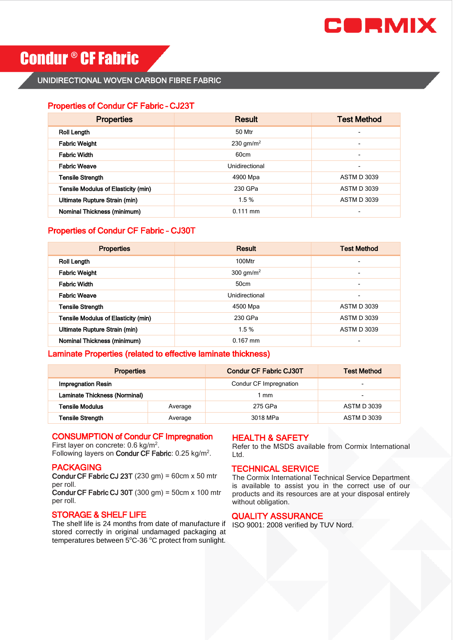

# **Condur ® CF Fabric**

# UNIDIRECTIONAL WOVEN CARBON FIBRE FABRIC

## Properties of Condur CF Fabric – CJ23T

| <b>Properties</b>                   | <b>Result</b>         | <b>Test Method</b>       |
|-------------------------------------|-----------------------|--------------------------|
| <b>Roll Length</b>                  | 50 Mtr                | ٠                        |
| <b>Fabric Weight</b>                | 230 gm/m <sup>2</sup> | ٠                        |
| <b>Fabric Width</b>                 | 60cm                  | ٠                        |
| <b>Fabric Weave</b>                 | Unidirectional        | $\overline{\phantom{0}}$ |
| <b>Tensile Strength</b>             | 4900 Mpa              | <b>ASTM D 3039</b>       |
| Tensile Modulus of Elasticity (min) | 230 GPa               | <b>ASTM D 3039</b>       |
| Ultimate Rupture Strain (min)       | 1.5%                  | <b>ASTM D 3039</b>       |
| Nominal Thickness (minimum)         | $0.111$ mm            |                          |

# Properties of Condur CF Fabric – CJ30T

| <b>Properties</b>                   | <b>Result</b>         | <b>Test Method</b>       |
|-------------------------------------|-----------------------|--------------------------|
| <b>Roll Length</b>                  | 100Mtr                | $\overline{\phantom{0}}$ |
| <b>Fabric Weight</b>                | 300 gm/m <sup>2</sup> | $\overline{\phantom{0}}$ |
| <b>Fabric Width</b>                 | 50cm                  | $\overline{\phantom{a}}$ |
| <b>Fabric Weave</b>                 | Unidirectional        | $\overline{\phantom{0}}$ |
| <b>Tensile Strength</b>             | 4500 Mpa              | <b>ASTM D 3039</b>       |
| Tensile Modulus of Elasticity (min) | 230 GPa               | <b>ASTM D 3039</b>       |
| Ultimate Rupture Strain (min)       | 1.5%                  | <b>ASTM D 3039</b>       |
| Nominal Thickness (minimum)         | $0.167$ mm            |                          |

# Laminate Properties (related to effective laminate thickness)

| <b>Properties</b>             |         | <b>Condur CF Fabric CJ30T</b> | <b>Test Method</b>       |
|-------------------------------|---------|-------------------------------|--------------------------|
| <b>Impregnation Resin</b>     |         | Condur CF Impregnation        | $\overline{\phantom{0}}$ |
| Laminate Thickness (Norminal) |         | l mm                          | $\overline{\phantom{0}}$ |
| Tensile Modulus               | Average | 275 GPa                       | <b>ASTM D 3039</b>       |
| Tensile Strength              | Average | 3018 MPa                      | <b>ASTM D 3039</b>       |

### CONSUMPTION of Condur CF Impregnation

First layer on concrete:  $0.6 \text{ kg/m}^2$ . Following layers on Condur CF Fabric:  $0.25 \text{ kg/m}^2$ .

## PACKAGING

Condur CF Fabric CJ 23T  $(230 \text{ gm}) = 60 \text{ cm} \times 50 \text{ m}$ tr per roll.

Condur CF Fabric CJ 30T  $(300 \text{ gm}) = 50 \text{ cm} \times 100 \text{ m}$ tr per roll.

## STORAGE & SHELF LIFE

The shelf life is 24 months from date of manufacture if stored correctly in original undamaged packaging at temperatures between 5°C-36 °C protect from sunlight.

## HEALTH & SAFETY

Refer to the MSDS available from Cormix International Ltd.

# TECHNICAL SERVICE

The Cormix International Technical Service Department is available to assist you in the correct use of our products and its resources are at your disposal entirely without obligation.

## QUALITY ASSURANCE

ISO 9001: 2008 verified by TUV Nord.